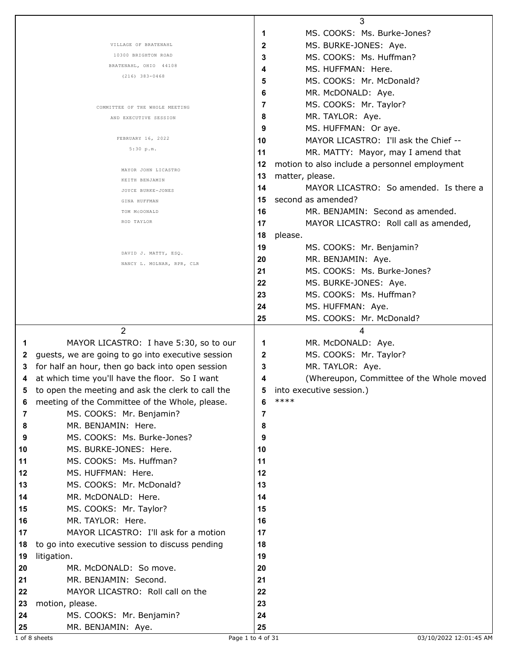|    |                                                   |    | 3                                             |
|----|---------------------------------------------------|----|-----------------------------------------------|
|    |                                                   | 1  | MS. COOKS: Ms. Burke-Jones?                   |
|    | VILLAGE OF BRATENAHL                              | 2  | MS. BURKE-JONES: Aye.                         |
|    | 10300 BRIGHTON ROAD                               | 3  | MS. COOKS: Ms. Huffman?                       |
|    | BRATENAHL, OHIO 44108                             | 4  | MS. HUFFMAN: Here.                            |
|    | $(216)$ 383-0468                                  |    | MS. COOKS: Mr. McDonald?                      |
|    |                                                   | 5  |                                               |
|    |                                                   | 6  | MR. McDONALD: Aye.                            |
|    | COMMITTEE OF THE WHOLE MEETING                    | 7  | MS. COOKS: Mr. Taylor?                        |
|    | AND EXECUTIVE SESSION                             | 8  | MR. TAYLOR: Aye.                              |
|    |                                                   | 9  | MS. HUFFMAN: Or aye.                          |
|    | FEBRUARY 16, 2022                                 | 10 | MAYOR LICASTRO: I'll ask the Chief --         |
|    | 5:30 p.m.                                         | 11 | MR. MATTY: Mayor, may I amend that            |
|    |                                                   | 12 | motion to also include a personnel employment |
|    | MAYOR JOHN LICASTRO                               | 13 | matter, please.                               |
|    | KEITH BENJAMIN                                    | 14 | MAYOR LICASTRO: So amended. Is there a        |
|    | JOYCE BURKE-JONES                                 | 15 | second as amended?                            |
|    | GINA HUFFMAN                                      |    |                                               |
|    | TOM MCDONALD<br>ROD TAYLOR                        | 16 | MR. BENJAMIN: Second as amended.              |
|    |                                                   | 17 | MAYOR LICASTRO: Roll call as amended,         |
|    |                                                   | 18 | please.                                       |
|    | DAVID J. MATTY, ESQ.                              | 19 | MS. COOKS: Mr. Benjamin?                      |
|    | NANCY L. MOLNAR, RPR, CLR                         | 20 | MR. BENJAMIN: Aye.                            |
|    |                                                   | 21 | MS. COOKS: Ms. Burke-Jones?                   |
|    |                                                   | 22 | MS. BURKE-JONES: Aye.                         |
|    |                                                   | 23 | MS. COOKS: Ms. Huffman?                       |
|    |                                                   | 24 | MS. HUFFMAN: Aye.                             |
|    |                                                   | 25 | MS. COOKS: Mr. McDonald?                      |
|    |                                                   |    |                                               |
|    | $\overline{2}$                                    |    | 4                                             |
| 1  | MAYOR LICASTRO: I have 5:30, so to our            | 1  | MR. McDONALD: Aye.                            |
| 2  |                                                   | 2  | MS. COOKS: Mr. Taylor?                        |
| 3  | guests, we are going to go into executive session | 3  |                                               |
| 4  | for half an hour, then go back into open session  | 4  | MR. TAYLOR: Aye.                              |
|    | at which time you'll have the floor. So I want    |    | (Whereupon, Committee of the Whole moved      |
| 5  | to open the meeting and ask the clerk to call the | 5  | into executive session.)<br>****              |
| 6  | meeting of the Committee of the Whole, please.    | 6  |                                               |
| 7  | MS. COOKS: Mr. Benjamin?                          | 7  |                                               |
| 8  | MR. BENJAMIN: Here.                               | 8  |                                               |
| 9  | MS. COOKS: Ms. Burke-Jones?                       | 9  |                                               |
| 10 | MS. BURKE-JONES: Here.                            | 10 |                                               |
| 11 | MS. COOKS: Ms. Huffman?                           | 11 |                                               |
| 12 | MS. HUFFMAN: Here.                                | 12 |                                               |
| 13 | MS. COOKS: Mr. McDonald?                          | 13 |                                               |
| 14 | MR. McDONALD: Here.                               | 14 |                                               |
| 15 | MS. COOKS: Mr. Taylor?                            | 15 |                                               |
| 16 | MR. TAYLOR: Here.                                 | 16 |                                               |
| 17 | MAYOR LICASTRO: I'll ask for a motion             | 17 |                                               |
| 18 | to go into executive session to discuss pending   | 18 |                                               |
| 19 | litigation.                                       | 19 |                                               |
| 20 | MR. McDONALD: So move.                            | 20 |                                               |
| 21 | MR. BENJAMIN: Second.                             | 21 |                                               |
| 22 | MAYOR LICASTRO: Roll call on the                  | 22 |                                               |
| 23 | motion, please.                                   | 23 |                                               |
| 24 | MS. COOKS: Mr. Benjamin?                          | 24 |                                               |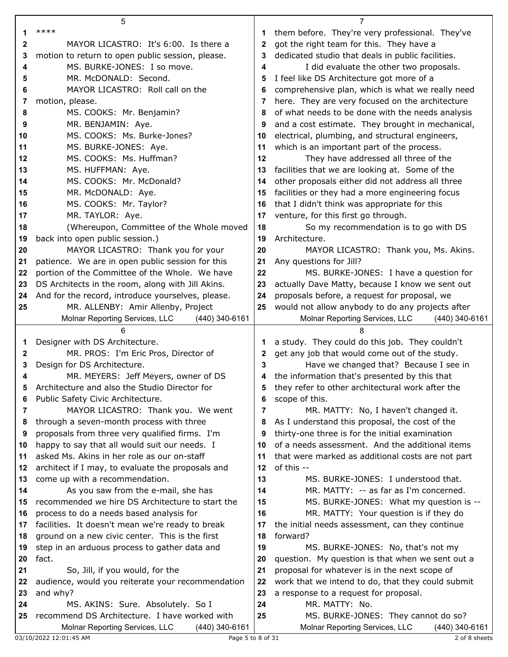|    | 5                                                 |    | $\overline{7}$                                    |  |  |  |
|----|---------------------------------------------------|----|---------------------------------------------------|--|--|--|
| 1  | ****                                              |    | them before. They're very professional. They've   |  |  |  |
| 2  | MAYOR LICASTRO: It's 6:00. Is there a             | 2  | got the right team for this. They have a          |  |  |  |
|    |                                                   |    |                                                   |  |  |  |
| 3  | motion to return to open public session, please.  | 3  | dedicated studio that deals in public facilities. |  |  |  |
| 4  | MS. BURKE-JONES: I so move.                       | 4  | I did evaluate the other two proposals.           |  |  |  |
| 5  | MR. McDONALD: Second.                             | 5  | I feel like DS Architecture got more of a         |  |  |  |
| 6  | MAYOR LICASTRO: Roll call on the                  |    | comprehensive plan, which is what we really need  |  |  |  |
| 7  | motion, please.                                   | 7  | here. They are very focused on the architecture   |  |  |  |
| 8  | MS. COOKS: Mr. Benjamin?                          | 8  | of what needs to be done with the needs analysis  |  |  |  |
| 9  | MR. BENJAMIN: Aye.                                | 9  | and a cost estimate. They brought in mechanical,  |  |  |  |
| 10 | MS. COOKS: Ms. Burke-Jones?                       | 10 | electrical, plumbing, and structural engineers,   |  |  |  |
|    |                                                   |    |                                                   |  |  |  |
| 11 | MS. BURKE-JONES: Aye.                             | 11 | which is an important part of the process.        |  |  |  |
| 12 | MS. COOKS: Ms. Huffman?                           | 12 | They have addressed all three of the              |  |  |  |
| 13 | MS. HUFFMAN: Aye.                                 | 13 | facilities that we are looking at. Some of the    |  |  |  |
| 14 | MS. COOKS: Mr. McDonald?                          | 14 | other proposals either did not address all three  |  |  |  |
| 15 | MR. McDONALD: Aye.                                | 15 | facilities or they had a more engineering focus   |  |  |  |
| 16 | MS. COOKS: Mr. Taylor?                            | 16 | that I didn't think was appropriate for this      |  |  |  |
| 17 | MR. TAYLOR: Aye.                                  | 17 | venture, for this first go through.               |  |  |  |
| 18 | (Whereupon, Committee of the Whole moved          | 18 | So my recommendation is to go with DS             |  |  |  |
| 19 | back into open public session.)                   | 19 | Architecture.                                     |  |  |  |
| 20 | MAYOR LICASTRO: Thank you for your                | 20 | MAYOR LICASTRO: Thank you, Ms. Akins.             |  |  |  |
| 21 | patience. We are in open public session for this  | 21 | Any questions for Jill?                           |  |  |  |
|    |                                                   | 22 |                                                   |  |  |  |
| 22 | portion of the Committee of the Whole. We have    |    | MS. BURKE-JONES: I have a question for            |  |  |  |
| 23 | DS Architects in the room, along with Jill Akins. | 23 | actually Dave Matty, because I know we sent out   |  |  |  |
| 24 | And for the record, introduce yourselves, please. | 24 | proposals before, a request for proposal, we      |  |  |  |
| 25 | MR. ALLENBY: Amir Allenby, Project                | 25 | would not allow anybody to do any projects after  |  |  |  |
|    | Molnar Reporting Services, LLC<br>(440) 340-6161  |    | Molnar Reporting Services, LLC<br>(440) 340-6161  |  |  |  |
|    |                                                   |    |                                                   |  |  |  |
|    | 6                                                 |    |                                                   |  |  |  |
| 1  | Designer with DS Architecture.                    | 1. | a study. They could do this job. They couldn't    |  |  |  |
| 2  |                                                   | 2  |                                                   |  |  |  |
|    | MR. PROS: I'm Eric Pros, Director of              | 3  | get any job that would come out of the study.     |  |  |  |
| 3  | Design for DS Architecture.                       |    | Have we changed that? Because I see in            |  |  |  |
| 4  | MR. MEYERS: Jeff Meyers, owner of DS              | 4  | the information that's presented by this that     |  |  |  |
|    | Architecture and also the Studio Director for     | б, | they refer to other architectural work after the  |  |  |  |
| 6  | Public Safety Civic Architecture.                 | 6  | scope of this.                                    |  |  |  |
| 7  | MAYOR LICASTRO: Thank you. We went                | 7  | MR. MATTY: No, I haven't changed it.              |  |  |  |
| 8  | through a seven-month process with three          | 8  | As I understand this proposal, the cost of the    |  |  |  |
| 9  | proposals from three very qualified firms. I'm    | 9  | thirty-one three is for the initial examination   |  |  |  |
| 10 | happy to say that all would suit our needs. I     | 10 | of a needs assessment. And the additional items   |  |  |  |
| 11 | asked Ms. Akins in her role as our on-staff       | 11 | that were marked as additional costs are not part |  |  |  |
| 12 | architect if I may, to evaluate the proposals and | 12 | of this --                                        |  |  |  |
| 13 | come up with a recommendation.                    | 13 | MS. BURKE-JONES: I understood that.               |  |  |  |
| 14 | As you saw from the e-mail, she has               | 14 | MR. MATTY: -- as far as I'm concerned.            |  |  |  |
| 15 | recommended we hire DS Architecture to start the  | 15 | MS. BURKE-JONES: What my question is --           |  |  |  |
| 16 |                                                   | 16 |                                                   |  |  |  |
|    | process to do a needs based analysis for          | 17 | MR. MATTY: Your question is if they do            |  |  |  |
| 17 | facilities. It doesn't mean we're ready to break  |    | the initial needs assessment, can they continue   |  |  |  |
| 18 | ground on a new civic center. This is the first   | 18 | forward?                                          |  |  |  |
| 19 | step in an arduous process to gather data and     | 19 | MS. BURKE-JONES: No, that's not my                |  |  |  |
| 20 | fact.                                             | 20 | question. My question is that when we sent out a  |  |  |  |
| 21 | So, Jill, if you would, for the                   | 21 | proposal for whatever is in the next scope of     |  |  |  |
| 22 | audience, would you reiterate your recommendation | 22 | work that we intend to do, that they could submit |  |  |  |
| 23 | and why?                                          | 23 | a response to a request for proposal.             |  |  |  |
| 24 | MS. AKINS: Sure. Absolutely. So I                 | 24 | MR. MATTY: No.                                    |  |  |  |
| 25 | recommend DS Architecture. I have worked with     | 25 | MS. BURKE-JONES: They cannot do so?               |  |  |  |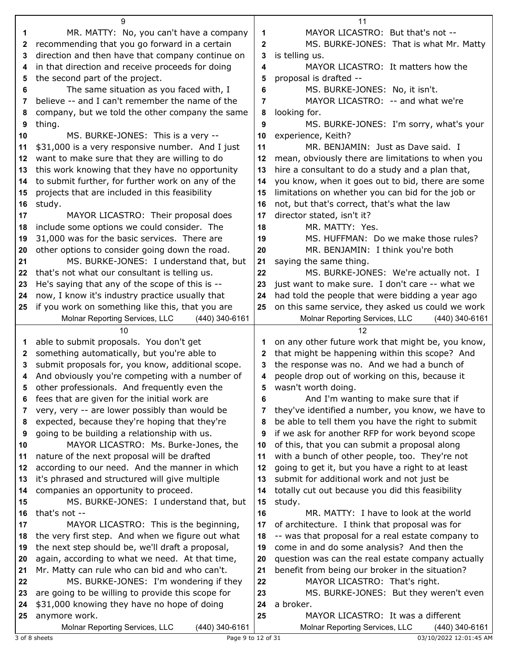|              | 9                                                                 |              | 11                                                                                     |  |  |  |
|--------------|-------------------------------------------------------------------|--------------|----------------------------------------------------------------------------------------|--|--|--|
| 1            | MR. MATTY: No, you can't have a company                           | 1            | MAYOR LICASTRO: But that's not --                                                      |  |  |  |
| 2            | recommending that you go forward in a certain                     | $\mathbf{2}$ | MS. BURKE-JONES: That is what Mr. Matty                                                |  |  |  |
| 3            | direction and then have that company continue on                  | 3            | is telling us.                                                                         |  |  |  |
| 4            | in that direction and receive proceeds for doing                  | 4            | MAYOR LICASTRO: It matters how the                                                     |  |  |  |
| 5            | the second part of the project.                                   | 5            | proposal is drafted --                                                                 |  |  |  |
| 6            | The same situation as you faced with, I                           | 6            | MS. BURKE-JONES: No, it isn't.                                                         |  |  |  |
| 7            | believe -- and I can't remember the name of the                   | 7            | MAYOR LICASTRO: -- and what we're                                                      |  |  |  |
| 8            | company, but we told the other company the same                   | 8            | looking for.                                                                           |  |  |  |
| 9            | thing.                                                            | 9            | MS. BURKE-JONES: I'm sorry, what's your                                                |  |  |  |
| 10           | MS. BURKE-JONES: This is a very --                                | 10           | experience, Keith?                                                                     |  |  |  |
| 11           | \$31,000 is a very responsive number. And I just                  | 11           | MR. BENJAMIN: Just as Dave said. I                                                     |  |  |  |
| 12           | want to make sure that they are willing to do                     | 12           | mean, obviously there are limitations to when you                                      |  |  |  |
| 13           | this work knowing that they have no opportunity                   | 13           | hire a consultant to do a study and a plan that,                                       |  |  |  |
| 14           | to submit further, for further work on any of the                 | 14           | you know, when it goes out to bid, there are some                                      |  |  |  |
| 15           | projects that are included in this feasibility                    | 15           | limitations on whether you can bid for the job or                                      |  |  |  |
| 16           | study.                                                            | 16           | not, but that's correct, that's what the law                                           |  |  |  |
| 17           | MAYOR LICASTRO: Their proposal does                               | 17           | director stated, isn't it?                                                             |  |  |  |
| 18           | include some options we could consider. The                       | 18           | MR. MATTY: Yes.                                                                        |  |  |  |
| 19           | 31,000 was for the basic services. There are                      | 19           | MS. HUFFMAN: Do we make those rules?                                                   |  |  |  |
| 20           | other options to consider going down the road.                    | 20           | MR. BENJAMIN: I think you're both                                                      |  |  |  |
| 21           | MS. BURKE-JONES: I understand that, but                           | 21           | saying the same thing.                                                                 |  |  |  |
| 22           | that's not what our consultant is telling us.                     | 22           | MS. BURKE-JONES: We're actually not. I                                                 |  |  |  |
| 23           | He's saying that any of the scope of this is --                   | 23           | just want to make sure. I don't care -- what we                                        |  |  |  |
| 24           | now, I know it's industry practice usually that                   | 24           | had told the people that were bidding a year ago                                       |  |  |  |
| 25           | if you work on something like this, that you are                  | 25           | on this same service, they asked us could we work                                      |  |  |  |
|              | Molnar Reporting Services, LLC<br>(440) 340-6161                  |              | Molnar Reporting Services, LLC<br>(440) 340-6161                                       |  |  |  |
|              |                                                                   |              |                                                                                        |  |  |  |
|              | 10                                                                |              | 12                                                                                     |  |  |  |
| 1            | able to submit proposals. You don't get                           |              | on any other future work that might be, you know,                                      |  |  |  |
| $\mathbf{2}$ | something automatically, but you're able to                       | 2            | that might be happening within this scope? And                                         |  |  |  |
| 3            | submit proposals for, you know, additional scope.                 | 3            | the response was no. And we had a bunch of                                             |  |  |  |
| 4            | And obviously you're competing with a number of                   | 4            | people drop out of working on this, because it                                         |  |  |  |
|              | other professionals. And frequently even the                      | 5            | wasn't worth doing.                                                                    |  |  |  |
| 6            | fees that are given for the initial work are                      | 6            | And I'm wanting to make sure that if                                                   |  |  |  |
| 7            | very, very -- are lower possibly than would be                    | 7            | they've identified a number, you know, we have to                                      |  |  |  |
| 8            | expected, because they're hoping that they're                     | 8            | be able to tell them you have the right to submit                                      |  |  |  |
| 9            | going to be building a relationship with us.                      | 9            | if we ask for another RFP for work beyond scope                                        |  |  |  |
| 10           | MAYOR LICASTRO: Ms. Burke-Jones, the                              | 10           | of this, that you can submit a proposal along                                          |  |  |  |
| 11           | nature of the next proposal will be drafted                       | 11           | with a bunch of other people, too. They're not                                         |  |  |  |
| 12           | according to our need. And the manner in which                    | 12           | going to get it, but you have a right to at least                                      |  |  |  |
| 13           | it's phrased and structured will give multiple                    | 13           | submit for additional work and not just be                                             |  |  |  |
| 14           | companies an opportunity to proceed.                              | 14           | totally cut out because you did this feasibility                                       |  |  |  |
| 15           | MS. BURKE-JONES: I understand that, but                           | 15           | study.                                                                                 |  |  |  |
| 16           | that's not --                                                     | 16           | MR. MATTY: I have to look at the world                                                 |  |  |  |
| 17           | MAYOR LICASTRO: This is the beginning,                            | 17           | of architecture. I think that proposal was for                                         |  |  |  |
| 18           | the very first step. And when we figure out what                  | 18           | -- was that proposal for a real estate company to                                      |  |  |  |
| 19           | the next step should be, we'll draft a proposal,                  | 19           | come in and do some analysis? And then the                                             |  |  |  |
| 20           | again, according to what we need. At that time,                   | 20           | question was can the real estate company actually                                      |  |  |  |
| 21           | Mr. Matty can rule who can bid and who can't.                     | 21           | benefit from being our broker in the situation?                                        |  |  |  |
| 22           | MS. BURKE-JONES: I'm wondering if they                            | 22           | MAYOR LICASTRO: That's right.                                                          |  |  |  |
| 23           | are going to be willing to provide this scope for                 | 23           | MS. BURKE-JONES: But they weren't even                                                 |  |  |  |
| 24           | \$31,000 knowing they have no hope of doing                       | 24           | a broker.                                                                              |  |  |  |
| 25           | anymore work.<br>Molnar Reporting Services, LLC<br>(440) 340-6161 | 25           | MAYOR LICASTRO: It was a different<br>Molnar Reporting Services, LLC<br>(440) 340-6161 |  |  |  |

3 of 8 sheets Page 9 to 12 of 31 03/10/2022 12:01:45 AM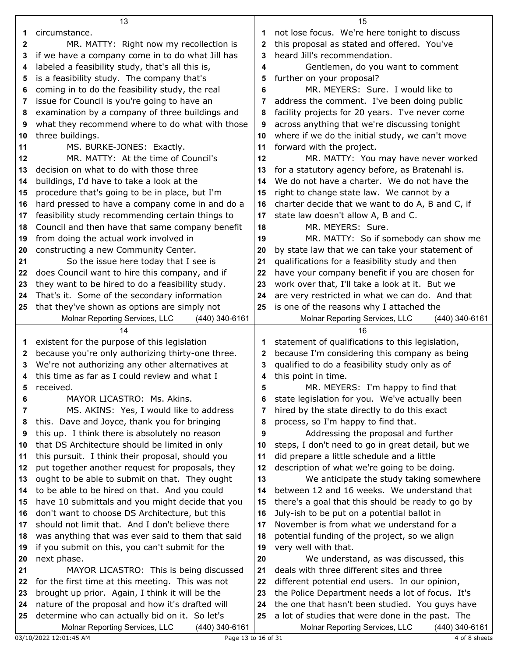|              | 13                                                                                                 | 15                                                     |                                                                                                      |  |
|--------------|----------------------------------------------------------------------------------------------------|--------------------------------------------------------|------------------------------------------------------------------------------------------------------|--|
| 1            | circumstance.                                                                                      | not lose focus. We're here tonight to discuss<br>1     |                                                                                                      |  |
| 2            | MR. MATTY: Right now my recollection is                                                            | this proposal as stated and offered. You've<br>2       |                                                                                                      |  |
| 3            | if we have a company come in to do what Jill has                                                   | heard Jill's recommendation.<br>3                      |                                                                                                      |  |
| 4            | labeled a feasibility study, that's all this is,                                                   | Gentlemen, do you want to comment<br>4                 |                                                                                                      |  |
| 5            | is a feasibility study. The company that's                                                         | further on your proposal?<br>5                         |                                                                                                      |  |
| 6            | coming in to do the feasibility study, the real                                                    | MR. MEYERS: Sure. I would like to<br>6                 |                                                                                                      |  |
| 7            | issue for Council is you're going to have an                                                       | address the comment. I've been doing public<br>7       |                                                                                                      |  |
| 8            | examination by a company of three buildings and                                                    | facility projects for 20 years. I've never come<br>8   |                                                                                                      |  |
| 9            | what they recommend where to do what with those                                                    | across anything that we're discussing tonight<br>9     |                                                                                                      |  |
| 10           | three buildings.                                                                                   | where if we do the initial study, we can't move<br>10  |                                                                                                      |  |
| 11           | MS. BURKE-JONES: Exactly.                                                                          | forward with the project.<br>11                        |                                                                                                      |  |
| 12           | MR. MATTY: At the time of Council's                                                                | 12                                                     | MR. MATTY: You may have never worked                                                                 |  |
| 13           | decision on what to do with those three                                                            | for a statutory agency before, as Bratenahl is.<br>13  |                                                                                                      |  |
| 14           | buildings, I'd have to take a look at the                                                          | 14                                                     | We do not have a charter. We do not have the                                                         |  |
| 15           | procedure that's going to be in place, but I'm                                                     | right to change state law. We cannot by a<br>15        |                                                                                                      |  |
| 16           | hard pressed to have a company come in and do a                                                    | charter decide that we want to do A, B and C, if<br>16 |                                                                                                      |  |
| 17           | feasibility study recommending certain things to                                                   | 17                                                     | state law doesn't allow A, B and C.                                                                  |  |
| 18           | Council and then have that same company benefit                                                    | 18                                                     | MR. MEYERS: Sure.                                                                                    |  |
| 19           | from doing the actual work involved in                                                             | 19                                                     | MR. MATTY: So if somebody can show me                                                                |  |
| 20           | constructing a new Community Center.                                                               | 20                                                     | by state law that we can take your statement of                                                      |  |
| 21           | So the issue here today that I see is                                                              | 21                                                     | qualifications for a feasibility study and then                                                      |  |
| 22           | does Council want to hire this company, and if                                                     | 22                                                     | have your company benefit if you are chosen for                                                      |  |
| 23           | they want to be hired to do a feasibility study.                                                   | 23                                                     | work over that, I'll take a look at it. But we                                                       |  |
| 24           | That's it. Some of the secondary information                                                       | 24                                                     | are very restricted in what we can do. And that                                                      |  |
| 25           | that they've shown as options are simply not                                                       | 25                                                     | is one of the reasons why I attached the                                                             |  |
|              | Molnar Reporting Services, LLC<br>(440) 340-6161                                                   |                                                        | Molnar Reporting Services, LLC<br>(440) 340-6161                                                     |  |
|              |                                                                                                    |                                                        |                                                                                                      |  |
|              | 14                                                                                                 |                                                        | 16                                                                                                   |  |
| 1            | existent for the purpose of this legislation                                                       | 1                                                      | statement of qualifications to this legislation,                                                     |  |
| $\mathbf{2}$ | because you're only authorizing thirty-one three.                                                  | 2                                                      | because I'm considering this company as being                                                        |  |
| 3            | We're not authorizing any other alternatives at                                                    | 3                                                      | qualified to do a feasibility study only as of                                                       |  |
| 4            | this time as far as I could review and what I                                                      | 4                                                      | this point in time.                                                                                  |  |
|              | received.                                                                                          | 5                                                      | MR. MEYERS: I'm happy to find that                                                                   |  |
| 6            | MAYOR LICASTRO: Ms. Akins.                                                                         | 6                                                      | state legislation for you. We've actually been                                                       |  |
| 7<br>8       | MS. AKINS: Yes, I would like to address                                                            | 7<br>8                                                 | hired by the state directly to do this exact                                                         |  |
| 9            | this. Dave and Joyce, thank you for bringing                                                       | 9                                                      | process, so I'm happy to find that.                                                                  |  |
| 10           | this up. I think there is absolutely no reason<br>that DS Architecture should be limited in only   | 10                                                     | Addressing the proposal and further<br>steps, I don't need to go in great detail, but we             |  |
| 11           | this pursuit. I think their proposal, should you                                                   | 11                                                     | did prepare a little schedule and a little                                                           |  |
| 12           | put together another request for proposals, they                                                   | 12                                                     | description of what we're going to be doing.                                                         |  |
| 13           | ought to be able to submit on that. They ought                                                     | 13                                                     | We anticipate the study taking somewhere                                                             |  |
| 14           | to be able to be hired on that. And you could                                                      | 14                                                     | between 12 and 16 weeks. We understand that                                                          |  |
| 15           | have 10 submittals and you might decide that you                                                   | 15                                                     | there's a goal that this should be ready to go by                                                    |  |
| 16           | don't want to choose DS Architecture, but this                                                     | 16                                                     | July-ish to be put on a potential ballot in                                                          |  |
| 17           | should not limit that. And I don't believe there                                                   | 17                                                     | November is from what we understand for a                                                            |  |
| 18           | was anything that was ever said to them that said                                                  | 18                                                     | potential funding of the project, so we align                                                        |  |
| 19           | if you submit on this, you can't submit for the                                                    | 19                                                     | very well with that.                                                                                 |  |
| 20           | next phase.                                                                                        | 20                                                     | We understand, as was discussed, this                                                                |  |
| 21           | MAYOR LICASTRO: This is being discussed                                                            | 21                                                     | deals with three different sites and three                                                           |  |
| 22           | for the first time at this meeting. This was not                                                   | 22                                                     | different potential end users. In our opinion,                                                       |  |
| 23           | brought up prior. Again, I think it will be the                                                    | 23                                                     | the Police Department needs a lot of focus. It's                                                     |  |
| 24           | nature of the proposal and how it's drafted will                                                   | 24                                                     | the one that hasn't been studied. You guys have                                                      |  |
| 25           | determine who can actually bid on it. So let's<br>Molnar Reporting Services, LLC<br>(440) 340-6161 | 25                                                     | a lot of studies that were done in the past. The<br>Molnar Reporting Services, LLC<br>(440) 340-6161 |  |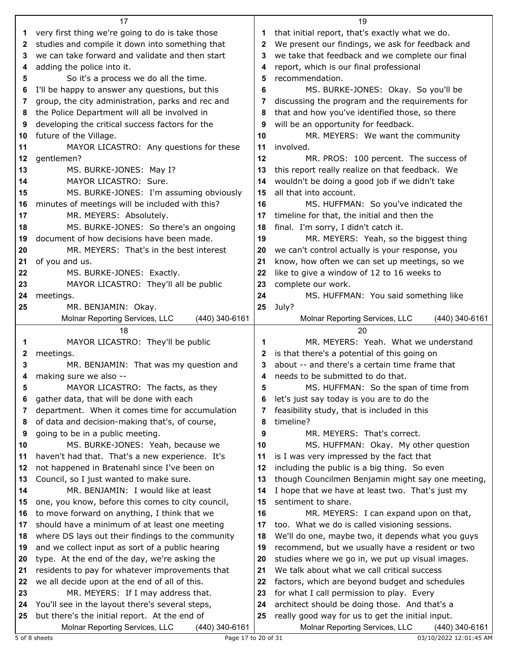|    | 17                                                                                                | 19                                                    |                                                                                                      |  |  |
|----|---------------------------------------------------------------------------------------------------|-------------------------------------------------------|------------------------------------------------------------------------------------------------------|--|--|
| 1. | very first thing we're going to do is take those                                                  | that initial report, that's exactly what we do.<br>1. |                                                                                                      |  |  |
| 2  | studies and compile it down into something that                                                   | We present our findings, we ask for feedback and<br>2 |                                                                                                      |  |  |
| 3  | we can take forward and validate and then start                                                   | we take that feedback and we complete our final<br>3  |                                                                                                      |  |  |
| 4  | adding the police into it.                                                                        | 4                                                     | report, which is our final professional                                                              |  |  |
| 5  | So it's a process we do all the time.                                                             | recommendation.<br>5                                  |                                                                                                      |  |  |
| 6  | I'll be happy to answer any questions, but this                                                   | 6                                                     | MS. BURKE-JONES: Okay. So you'll be                                                                  |  |  |
| 7  | group, the city administration, parks and rec and                                                 | 7                                                     | discussing the program and the requirements for                                                      |  |  |
| 8  | the Police Department will all be involved in                                                     | 8                                                     | that and how you've identified those, so there                                                       |  |  |
| 9  | developing the critical success factors for the                                                   | 9                                                     | will be an opportunity for feedback.                                                                 |  |  |
| 10 | future of the Village.                                                                            | 10                                                    | MR. MEYERS: We want the community                                                                    |  |  |
| 11 | MAYOR LICASTRO: Any questions for these                                                           | 11                                                    | involved.                                                                                            |  |  |
| 12 | gentlemen?                                                                                        | 12                                                    | MR. PROS: 100 percent. The success of                                                                |  |  |
| 13 | MS. BURKE-JONES: May I?                                                                           | 13                                                    | this report really realize on that feedback. We                                                      |  |  |
| 14 | MAYOR LICASTRO: Sure.                                                                             | 14                                                    | wouldn't be doing a good job if we didn't take                                                       |  |  |
| 15 | MS. BURKE-JONES: I'm assuming obviously                                                           | 15                                                    | all that into account.                                                                               |  |  |
| 16 | minutes of meetings will be included with this?                                                   | 16                                                    | MS. HUFFMAN: So you've indicated the                                                                 |  |  |
| 17 | MR. MEYERS: Absolutely.                                                                           | 17                                                    | timeline for that, the initial and then the                                                          |  |  |
| 18 | MS. BURKE-JONES: So there's an ongoing                                                            | 18                                                    | final. I'm sorry, I didn't catch it.                                                                 |  |  |
| 19 | document of how decisions have been made.                                                         | 19                                                    | MR. MEYERS: Yeah, so the biggest thing                                                               |  |  |
| 20 | MR. MEYERS: That's in the best interest                                                           | 20                                                    | we can't control actually is your response, you                                                      |  |  |
| 21 | of you and us.                                                                                    | 21                                                    | know, how often we can set up meetings, so we                                                        |  |  |
| 22 | MS. BURKE-JONES: Exactly.                                                                         | 22                                                    | like to give a window of 12 to 16 weeks to                                                           |  |  |
| 23 | MAYOR LICASTRO: They'll all be public                                                             | 23                                                    | complete our work.                                                                                   |  |  |
| 24 | meetings.                                                                                         | 24                                                    | MS. HUFFMAN: You said something like                                                                 |  |  |
| 25 | MR. BENJAMIN: Okay.                                                                               | 25                                                    | July?                                                                                                |  |  |
|    | (440) 340-6161<br>Molnar Reporting Services, LLC                                                  |                                                       | (440) 340-6161<br>Molnar Reporting Services, LLC                                                     |  |  |
|    | 18                                                                                                |                                                       | 20                                                                                                   |  |  |
| 1  | MAYOR LICASTRO: They'll be public                                                                 | 1                                                     | MR. MEYERS: Yeah. What we understand                                                                 |  |  |
| 2  | meetings.                                                                                         | 2                                                     | is that there's a potential of this going on                                                         |  |  |
| 3  | MR. BENJAMIN: That was my question and                                                            | 3                                                     | about -- and there's a certain time frame that                                                       |  |  |
| 4  | making sure we also --                                                                            | 4                                                     | needs to be submitted to do that.                                                                    |  |  |
|    | MAYOR LICASTRO: The facts, as they                                                                |                                                       | MS. HUFFMAN: So the span of time from                                                                |  |  |
| 6  | gather data, that will be done with each                                                          | 6                                                     | let's just say today is you are to do the                                                            |  |  |
| 7  | department. When it comes time for accumulation                                                   | 7                                                     | feasibility study, that is included in this                                                          |  |  |
| 8  | of data and decision-making that's, of course,                                                    | 8                                                     | timeline?                                                                                            |  |  |
| 9  |                                                                                                   |                                                       |                                                                                                      |  |  |
| 10 | going to be in a public meeting.                                                                  | 9                                                     | MR. MEYERS: That's correct.                                                                          |  |  |
|    | MS. BURKE-JONES: Yeah, because we                                                                 | 10                                                    | MS. HUFFMAN: Okay. My other question                                                                 |  |  |
| 11 | haven't had that. That's a new experience. It's                                                   | 11                                                    | is I was very impressed by the fact that                                                             |  |  |
| 12 | not happened in Bratenahl since I've been on                                                      | 12                                                    | including the public is a big thing. So even                                                         |  |  |
| 13 | Council, so I just wanted to make sure.                                                           | 13                                                    | though Councilmen Benjamin might say one meeting,                                                    |  |  |
| 14 | MR. BENJAMIN: I would like at least                                                               | 14                                                    | I hope that we have at least two. That's just my                                                     |  |  |
| 15 | one, you know, before this comes to city council,                                                 | 15                                                    | sentiment to share.                                                                                  |  |  |
| 16 | to move forward on anything, I think that we                                                      | 16                                                    | MR. MEYERS: I can expand upon on that,                                                               |  |  |
| 17 | should have a minimum of at least one meeting                                                     | 17                                                    | too. What we do is called visioning sessions.                                                        |  |  |
| 18 | where DS lays out their findings to the community                                                 | 18                                                    | We'll do one, maybe two, it depends what you guys                                                    |  |  |
| 19 | and we collect input as sort of a public hearing                                                  | 19                                                    | recommend, but we usually have a resident or two                                                     |  |  |
| 20 | type. At the end of the day, we're asking the                                                     | 20                                                    | studies where we go in, we put up visual images.                                                     |  |  |
| 21 | residents to pay for whatever improvements that                                                   | 21                                                    | We talk about what we call critical success                                                          |  |  |
| 22 | we all decide upon at the end of all of this.                                                     | 22                                                    | factors, which are beyond budget and schedules                                                       |  |  |
| 23 | MR. MEYERS: If I may address that.                                                                | 23                                                    | for what I call permission to play. Every                                                            |  |  |
| 24 | You'll see in the layout there's several steps,                                                   | 24                                                    | architect should be doing those. And that's a                                                        |  |  |
| 25 | but there's the initial report. At the end of<br>Molnar Reporting Services, LLC<br>(440) 340-6161 | 25                                                    | really good way for us to get the initial input.<br>Molnar Reporting Services, LLC<br>(440) 340-6161 |  |  |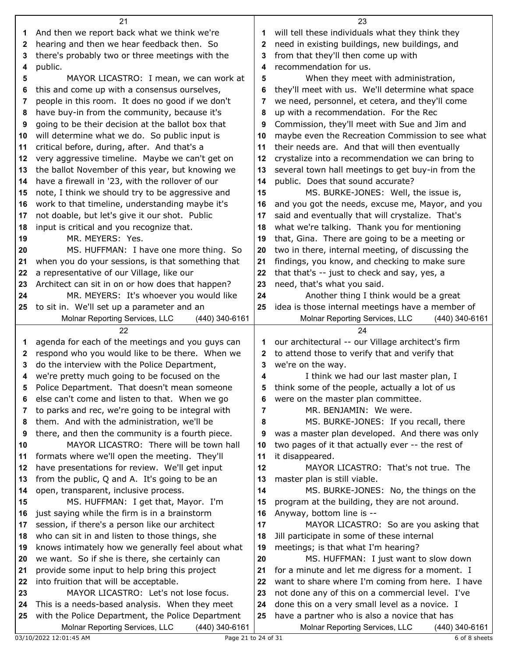|    | 21                                                                                                    | 23                                                     |                                                                                                  |  |  |
|----|-------------------------------------------------------------------------------------------------------|--------------------------------------------------------|--------------------------------------------------------------------------------------------------|--|--|
| 1  | And then we report back what we think we're                                                           | 1                                                      | will tell these individuals what they think they                                                 |  |  |
| 2  | hearing and then we hear feedback then. So                                                            | 2                                                      | need in existing buildings, new buildings, and                                                   |  |  |
| 3  | there's probably two or three meetings with the                                                       | 3                                                      | from that they'll then come up with                                                              |  |  |
| 4  | public.                                                                                               | 4                                                      | recommendation for us.                                                                           |  |  |
| 5  | MAYOR LICASTRO: I mean, we can work at                                                                | 5                                                      | When they meet with administration,                                                              |  |  |
| 6  | this and come up with a consensus ourselves,                                                          | 6                                                      | they'll meet with us. We'll determine what space                                                 |  |  |
| 7  | people in this room. It does no good if we don't                                                      | we need, personnel, et cetera, and they'll come<br>7   |                                                                                                  |  |  |
| 8  | have buy-in from the community, because it's                                                          | up with a recommendation. For the Rec<br>8             |                                                                                                  |  |  |
| 9  | going to be their decision at the ballot box that                                                     | 9                                                      | Commission, they'll meet with Sue and Jim and                                                    |  |  |
| 10 | will determine what we do. So public input is                                                         | 10                                                     | maybe even the Recreation Commission to see what                                                 |  |  |
| 11 | critical before, during, after. And that's a                                                          | 11                                                     | their needs are. And that will then eventually                                                   |  |  |
| 12 | very aggressive timeline. Maybe we can't get on                                                       | 12                                                     | crystalize into a recommendation we can bring to                                                 |  |  |
| 13 | the ballot November of this year, but knowing we                                                      | 13                                                     | several town hall meetings to get buy-in from the                                                |  |  |
| 14 | have a firewall in '23, with the rollover of our                                                      | 14                                                     | public. Does that sound accurate?                                                                |  |  |
| 15 | note, I think we should try to be aggressive and                                                      | 15                                                     | MS. BURKE-JONES: Well, the issue is,                                                             |  |  |
| 16 | work to that timeline, understanding maybe it's                                                       | 16                                                     | and you got the needs, excuse me, Mayor, and you                                                 |  |  |
| 17 | not doable, but let's give it our shot. Public                                                        | said and eventually that will crystalize. That's<br>17 |                                                                                                  |  |  |
| 18 | input is critical and you recognize that.                                                             | 18                                                     | what we're talking. Thank you for mentioning                                                     |  |  |
| 19 | MR. MEYERS: Yes.                                                                                      | 19                                                     | that, Gina. There are going to be a meeting or                                                   |  |  |
| 20 | MS. HUFFMAN: I have one more thing. So                                                                | 20                                                     | two in there, internal meeting, of discussing the                                                |  |  |
| 21 | when you do your sessions, is that something that                                                     | 21                                                     | findings, you know, and checking to make sure                                                    |  |  |
| 22 | a representative of our Village, like our                                                             | 22                                                     | that that's -- just to check and say, yes, a                                                     |  |  |
| 23 | Architect can sit in on or how does that happen?                                                      | 23                                                     | need, that's what you said.                                                                      |  |  |
| 24 | MR. MEYERS: It's whoever you would like                                                               | 24                                                     | Another thing I think would be a great                                                           |  |  |
| 25 | to sit in. We'll set up a parameter and an                                                            | 25                                                     | idea is those internal meetings have a member of                                                 |  |  |
|    | Molnar Reporting Services, LLC<br>(440) 340-6161                                                      |                                                        | Molnar Reporting Services, LLC<br>(440) 340-6161                                                 |  |  |
|    | 22                                                                                                    |                                                        | 24                                                                                               |  |  |
| 1  | agenda for each of the meetings and you guys can                                                      | 1                                                      | our architectural -- our Village architect's firm                                                |  |  |
| 2  | respond who you would like to be there. When we                                                       | 2                                                      | to attend those to verify that and verify that                                                   |  |  |
| 3  | do the interview with the Police Department,                                                          | 3                                                      | we're on the way.                                                                                |  |  |
| 4  | we're pretty much going to be focused on the                                                          | 4                                                      | I think we had our last master plan, I                                                           |  |  |
| 5  | Police Department. That doesn't mean someone                                                          |                                                        | think some of the people, actually a lot of us                                                   |  |  |
| 6  | else can't come and listen to that. When we go                                                        | 6                                                      | were on the master plan committee.                                                               |  |  |
| 7  |                                                                                                       |                                                        |                                                                                                  |  |  |
|    | to parks and rec, we're going to be integral with                                                     | 7                                                      | MR. BENJAMIN: We were.                                                                           |  |  |
| 8  | them. And with the administration, we'll be                                                           | 8                                                      | MS. BURKE-JONES: If you recall, there                                                            |  |  |
| 9  | there, and then the community is a fourth piece.                                                      | 9                                                      | was a master plan developed. And there was only                                                  |  |  |
| 10 | MAYOR LICASTRO: There will be town hall                                                               | 10                                                     | two pages of it that actually ever -- the rest of                                                |  |  |
| 11 | formats where we'll open the meeting. They'll                                                         | 11                                                     | it disappeared.                                                                                  |  |  |
| 12 | have presentations for review. We'll get input                                                        | 12                                                     | MAYOR LICASTRO: That's not true. The                                                             |  |  |
| 13 | from the public, Q and A. It's going to be an                                                         | 13                                                     | master plan is still viable.                                                                     |  |  |
| 14 | open, transparent, inclusive process.                                                                 | 14                                                     | MS. BURKE-JONES: No, the things on the                                                           |  |  |
| 15 | MS. HUFFMAN: I get that, Mayor. I'm                                                                   | 15                                                     | program at the building, they are not around.                                                    |  |  |
| 16 | just saying while the firm is in a brainstorm                                                         | 16                                                     | Anyway, bottom line is --                                                                        |  |  |
| 17 | session, if there's a person like our architect                                                       | 17                                                     | MAYOR LICASTRO: So are you asking that                                                           |  |  |
| 18 | who can sit in and listen to those things, she                                                        | 18                                                     | Jill participate in some of these internal                                                       |  |  |
| 19 | knows intimately how we generally feel about what                                                     | 19                                                     | meetings; is that what I'm hearing?                                                              |  |  |
| 20 | we want. So if she is there, she certainly can                                                        | 20                                                     | MS. HUFFMAN: I just want to slow down                                                            |  |  |
| 21 | provide some input to help bring this project                                                         | 21                                                     | for a minute and let me digress for a moment. I                                                  |  |  |
| 22 | into fruition that will be acceptable.                                                                | 22                                                     | want to share where I'm coming from here. I have                                                 |  |  |
| 23 | MAYOR LICASTRO: Let's not lose focus.                                                                 | 23                                                     | not done any of this on a commercial level. I've                                                 |  |  |
| 24 | This is a needs-based analysis. When they meet                                                        | 24                                                     | done this on a very small level as a novice. I                                                   |  |  |
| 25 | with the Police Department, the Police Department<br>Molnar Reporting Services, LLC<br>(440) 340-6161 | 25                                                     | have a partner who is also a novice that has<br>Molnar Reporting Services, LLC<br>(440) 340-6161 |  |  |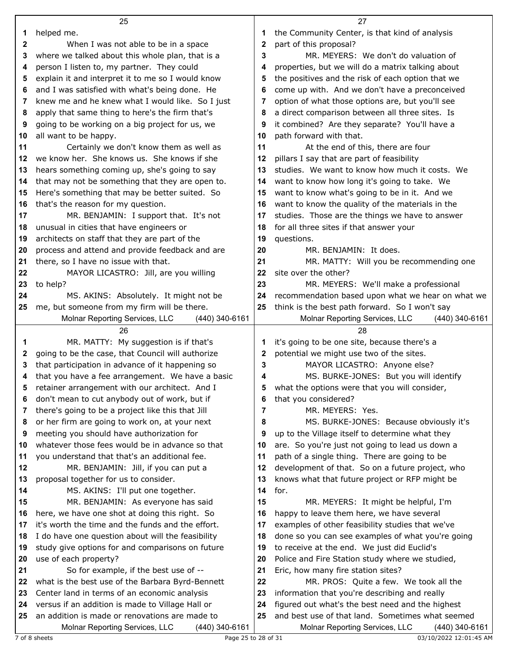|          | 25                                                                                               |                                                     | 27                                                                                                |  |  |
|----------|--------------------------------------------------------------------------------------------------|-----------------------------------------------------|---------------------------------------------------------------------------------------------------|--|--|
| 1        | helped me.                                                                                       | the Community Center, is that kind of analysis<br>1 |                                                                                                   |  |  |
| 2        | When I was not able to be in a space                                                             | $\mathbf{2}$                                        | part of this proposal?                                                                            |  |  |
| 3        | where we talked about this whole plan, that is a                                                 | 3                                                   | MR. MEYERS: We don't do valuation of                                                              |  |  |
| 4        | person I listen to, my partner. They could                                                       | 4                                                   | properties, but we will do a matrix talking about                                                 |  |  |
| 5        | explain it and interpret it to me so I would know                                                | 5                                                   | the positives and the risk of each option that we                                                 |  |  |
| 6        | and I was satisfied with what's being done. He                                                   | 6                                                   | come up with. And we don't have a preconceived                                                    |  |  |
| 7        | knew me and he knew what I would like. So I just                                                 | 7                                                   | option of what those options are, but you'll see                                                  |  |  |
| 8        | apply that same thing to here's the firm that's                                                  | 8                                                   | a direct comparison between all three sites. Is                                                   |  |  |
| 9        | going to be working on a big project for us, we                                                  | 9                                                   | it combined? Are they separate? You'll have a                                                     |  |  |
| 10       | all want to be happy.                                                                            | 10                                                  | path forward with that.                                                                           |  |  |
| 11       | Certainly we don't know them as well as                                                          | 11                                                  | At the end of this, there are four                                                                |  |  |
| 12       | we know her. She knows us. She knows if she                                                      | 12                                                  | pillars I say that are part of feasibility                                                        |  |  |
| 13       | hears something coming up, she's going to say                                                    | 13                                                  | studies. We want to know how much it costs. We                                                    |  |  |
| 14       | that may not be something that they are open to.                                                 | 14                                                  | want to know how long it's going to take. We                                                      |  |  |
| 15       | Here's something that may be better suited. So                                                   | 15                                                  | want to know what's going to be in it. And we                                                     |  |  |
| 16       | that's the reason for my question.                                                               | 16                                                  | want to know the quality of the materials in the                                                  |  |  |
| 17       | MR. BENJAMIN: I support that. It's not                                                           | 17                                                  | studies. Those are the things we have to answer                                                   |  |  |
| 18       | unusual in cities that have engineers or                                                         | 18                                                  | for all three sites if that answer your                                                           |  |  |
| 19       | architects on staff that they are part of the                                                    | 19                                                  | questions.                                                                                        |  |  |
| 20       | process and attend and provide feedback and are                                                  | 20                                                  | MR. BENJAMIN: It does.                                                                            |  |  |
| 21       | there, so I have no issue with that.                                                             | 21                                                  | MR. MATTY: Will you be recommending one                                                           |  |  |
| 22       | MAYOR LICASTRO: Jill, are you willing                                                            | 22                                                  | site over the other?                                                                              |  |  |
| 23       | to help?                                                                                         | 23                                                  | MR. MEYERS: We'll make a professional                                                             |  |  |
| 24       | MS. AKINS: Absolutely. It might not be                                                           | 24                                                  | recommendation based upon what we hear on what we                                                 |  |  |
| 25       | me, but someone from my firm will be there.                                                      | 25                                                  | think is the best path forward. So I won't say                                                    |  |  |
|          | Molnar Reporting Services, LLC<br>(440) 340-6161                                                 |                                                     | Molnar Reporting Services, LLC<br>(440) 340-6161                                                  |  |  |
|          | 26                                                                                               |                                                     | 28                                                                                                |  |  |
| 1        | MR. MATTY: My suggestion is if that's                                                            | 1                                                   | it's going to be one site, because there's a                                                      |  |  |
| 2        | going to be the case, that Council will authorize                                                | 2                                                   | potential we might use two of the sites.                                                          |  |  |
| 3        | that participation in advance of it happening so                                                 | 3                                                   | MAYOR LICASTRO: Anyone else?                                                                      |  |  |
| 4        | that you have a fee arrangement. We have a basic                                                 | 4                                                   | MS. BURKE-JONES: But you will identify                                                            |  |  |
| 5        | retainer arrangement with our architect. And I                                                   | 5                                                   | what the options were that you will consider,                                                     |  |  |
| 6        | don't mean to cut anybody out of work, but if                                                    | 6                                                   | that you considered?                                                                              |  |  |
| 7        | there's going to be a project like this that Jill                                                | 7                                                   | MR. MEYERS: Yes.                                                                                  |  |  |
| 8        | or her firm are going to work on, at your next                                                   | 8                                                   | MS. BURKE-JONES: Because obviously it's                                                           |  |  |
| 9        | meeting you should have authorization for                                                        | 9                                                   | up to the Village itself to determine what they                                                   |  |  |
| 10       | whatever those fees would be in advance so that<br>you understand that that's an additional fee. | 10<br>11                                            | are. So you're just not going to lead us down a                                                   |  |  |
| 11<br>12 | MR. BENJAMIN: Jill, if you can put a                                                             | 12                                                  | path of a single thing. There are going to be<br>development of that. So on a future project, who |  |  |
| 13       | proposal together for us to consider.                                                            | 13                                                  | knows what that future project or RFP might be                                                    |  |  |
| 14       | MS. AKINS: I'll put one together.                                                                | 14                                                  | for.                                                                                              |  |  |
| 15       | MR. BENJAMIN: As everyone has said                                                               | 15                                                  | MR. MEYERS: It might be helpful, I'm                                                              |  |  |
| 16       | here, we have one shot at doing this right. So                                                   | 16                                                  | happy to leave them here, we have several                                                         |  |  |
| 17       | it's worth the time and the funds and the effort.                                                | 17                                                  | examples of other feasibility studies that we've                                                  |  |  |
| 18       | I do have one question about will the feasibility                                                | 18                                                  | done so you can see examples of what you're going                                                 |  |  |
| 19       | study give options for and comparisons on future                                                 | 19                                                  | to receive at the end. We just did Euclid's                                                       |  |  |
| 20       | use of each property?                                                                            | 20                                                  | Police and Fire Station study where we studied,                                                   |  |  |
| 21       | So for example, if the best use of --                                                            | 21                                                  | Eric, how many fire station sites?                                                                |  |  |
| 22       | what is the best use of the Barbara Byrd-Bennett                                                 | 22                                                  | MR. PROS: Quite a few. We took all the                                                            |  |  |
| 23       | Center land in terms of an economic analysis                                                     | 23                                                  | information that you're describing and really                                                     |  |  |
| 24       | versus if an addition is made to Village Hall or                                                 | 24                                                  | figured out what's the best need and the highest                                                  |  |  |
| 25       | an addition is made or renovations are made to                                                   | 25                                                  | and best use of that land. Sometimes what seemed                                                  |  |  |
|          | Molnar Reporting Services, LLC<br>(440) 340-6161                                                 |                                                     | Molnar Reporting Services, LLC<br>(440) 340-6161                                                  |  |  |